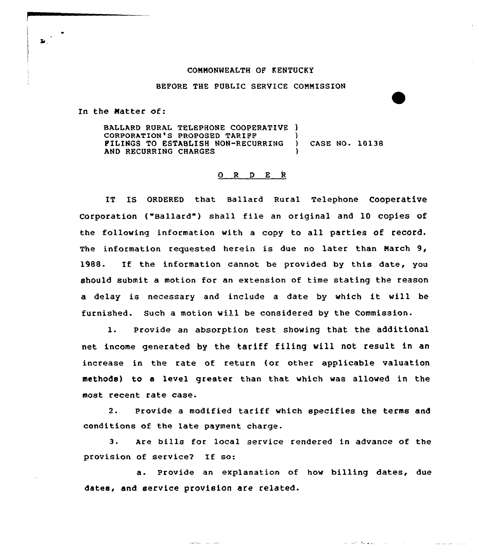## CONNONMEALTH OF KENTUCKY

BEFORE THE PUBLIC SERVICE CONNISSION

In the Natter of:

BALLARD RURAL TELEPHONE COOPERATIVE ) CORPORATION'S PROPOSED TARIFF (1999) PILINGS TO ESTABLISH NON-RECURRING ) CASE NO. 10138 AND RECURRING CHARGES

## O R D E R

IT Is QRDERED that Ballard Rural Telephone cooperative Corporation ("Ballard") shall file an original and 10 copies of the following information with a copy to all parties of record. The information requested herein is due no later than Narch 9, 1988. If the information cannot be provided by this date, you should submit a motion for an extension of time stating the reason <sup>a</sup> delay is necessary and include <sup>a</sup> date by which it will be furnished. Such a motion wi11 be considered by the Commission.

1. Provide an absorption test showing that the additional net income generated by the tariff filing will not result in an increase in the rate of return (or other applicable valuation methods) to a level greater than that which was allowed in the most recent rate case.

2- Provide a modified tariff which specifies the terms and conditions of the late payment charge.

3. Are bills for local service rendered in advance of the provision of service2 If so:

a. Provide an explanation of how billing dates, due dates, and service provision are related.

والمتعادل والمدار المتعاونتين

أنوا المستقلص المدار والمراري المتحدث والمستقلا المتعاطين المتحدث

**z.**